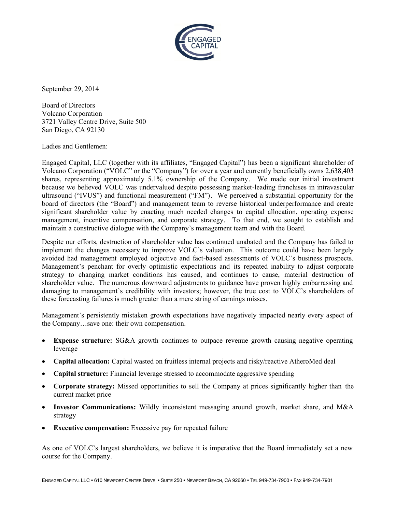

September 29, 2014

Board of Directors Volcano Corporation 3721 Valley Centre Drive, Suite 500 San Diego, CA 92130

Ladies and Gentlemen:

Engaged Capital, LLC (together with its affiliates, "Engaged Capital") has been a significant shareholder of Volcano Corporation ("VOLC" or the "Company") for over a year and currently beneficially owns 2,638,403 shares, representing approximately 5.1% ownership of the Company. We made our initial investment because we believed VOLC was undervalued despite possessing market-leading franchises in intravascular ultrasound ("IVUS") and functional measurement ("FM"). We perceived a substantial opportunity for the ultrasound ("IVUS") and functional measurement ("FM"). We perceived a substantial opportunity for the board of directors (the "Board") and management team to reverse historical underperformance and create significant shareholder value by enacting much needed changes to capital allocation, operating expense management, incentive compensation, and corporate strategy. To that end, we sought to establish and maintain a constructive dialogue with the Company's management team and with the Board.

Despite our efforts, destruction of shareholder value has continued unabated and the Company has failed to implement the changes necessary to improve VOLC's valuation. This outcome could have been largely implement the changes necessary to improve VOLC's valuation. This outcome could have been largely avoided had management employed objective and fact-based assessments of VOLC's business prospects. Management's penchant for overly optimistic expectations and its repeated inability to adjust corporate strategy to changing market conditions has caused, and continues to cause, material destruction of shareholder value. The numerous downward adjustments to guidance have proven highly embarrassing and damaging to management's credibility with investors; however, the true cost to VOLC's shareholders of these forecasting failures is much greater than a mere string of earnings misses.

Management's persistently mistaken growth expectations have negatively impacted nearly every aspect of the Company...save one: their own compensation. the Company…save one: their own compensation he true cost to VOLC's shareholders of<br>ngs misses.<br>gatively impacted nearly every aspect of<br>enue growth causing negative operating<br>and risky/reactive AtheroMed deal<br>aggressive spending<br>ny at prices significantly higher tha

- **Expense structure:** SG&A growth continues to outpace revenue growth causing negative operating leverage<br> **Capital allocation:** Capital wasted on fruitless internal projects and risky/reactive AtheroMed deal leverage
- Capital allocation: Capital wasted on fruitless internal projects and risky/reactive AtheroMed deal
- **Capital structure:** Financial leverage stressed to accommodate aggressive spending
- **Corporate strategy:** Missed opportunities to sell the Company at prices significantly higher than current market price inancial leverage stressed to accommodate aggressive spending<br>Missed opportunities to sell the Company at prices significantly higher than the<br>cations: Wildly inconsistent messaging around growth, market share, and M&A
- Investor Communications: Wildly inconsistent messaging around growth, market share, and M&A strategy
- **Executive compensation:** Excessive pay for repeated failure

As one of VOLC's largest shareholders, we believe it is imperative that the Board immediately set a new course for the Company.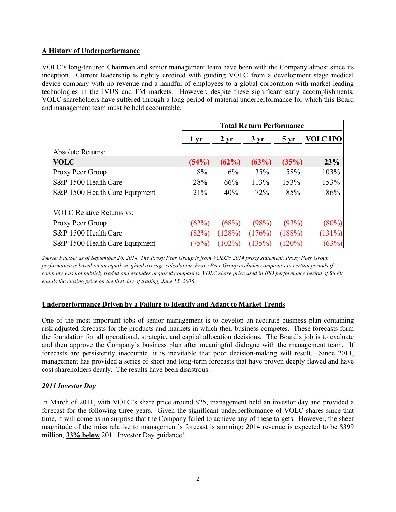# **A History of Underperformance**

VOLC's long-tenured Chairman and senior management team have been with the Company almost since its inception. Current leadership is rightly credited with guiding VOLC from a development stage medical device company with no revenue and a handful of employees to a global corporation with market-leading technologies in the IVUS and FM markets. However, despite these significant early accomplishments, VOLC shareholders have suffered through a long period of material underperformance for which this Board and management team must be held accountable.

|                                  | <b>Total Return Performance</b> |           |           |                   |                 |
|----------------------------------|---------------------------------|-----------|-----------|-------------------|-----------------|
|                                  | 1 yr                            | $2 \, yr$ | $3 \, yr$ | $5 \,\mathrm{yr}$ | <b>VOLC IPO</b> |
| <b>Absolute Returns:</b>         |                                 |           |           |                   |                 |
| <b>VOLC</b>                      | (54%)                           | (62%)     | (63%)     | (35%)             | 23%             |
| Proxy Peer Group                 | 8%                              | 6%        | 35%       | 58%               | 103%            |
| S&P 1500 Health Care             | 28%                             | 66%       | 113%      | 153%              | 153%            |
| S&P 1500 Health Care Equipment   | 21%                             | 40%       | 72%       | 85%               | 86%             |
| <b>VOLC Relative Returns vs:</b> |                                 |           |           |                   |                 |
| Proxy Peer Group                 | (62%)                           | (68%)     | (98%)     | (93%)             | (80%)           |
| S&P 1500 Health Care             | (82%)                           | (128%)    | (176%)    | (188%)            | (131%)          |
| S&P 1500 Health Care Equipment   | (75%)                           | $(102\%)$ | (135%)    | $(120\%)$         | (63%)           |

*Source: FactSet as of September 26, 2014. The Proxy Peer Group is from VOLC's 2014 proxy statement. Proxy Peer Group performance is based on an equal-weighted average calculation. Proxy Peer Group excludes companies in certain periods if company was not publicly traded and excludes acquired companies. VOLC share price used in IPO performance period of \$8.80 equals the closing price on the first day of trading, June 15, 2006.*

# **Underperformance Driven by a Failure to Identify and Adapt to Market Trends**

One of the most important jobs of senior management is to develop an accurate business plan containing risk-adjusted forecasts for the products and markets in which their business competes. These forecasts form the foundation for all operational, strategic, and capital allocation decisions. The Board's job is to evaluate and then approve the Company's business plan after meaningful dialogue with the management team. If forecasts are persistently inaccurate, it is inevitable that poor decision-making will result. Since 2011, management has provided a series of short and long-term forecasts that have proven deeply flawed and have cost shareholders dearly. The results have been disastrous.

# *2011 Investor Day*

In March of 2011, with VOLC's share price around \$25, management held an investor day and provided a forecast for the following three years. Given the significant underperformance of VOLC shares since that time, it will come as no surprise that the Company failed to achieve any of these targets. However, the sheer magnitude of the miss relative to management's forecast is stunning: 2014 revenue is expected to be \$399 million, **33% below** 2011 Investor Day guidance!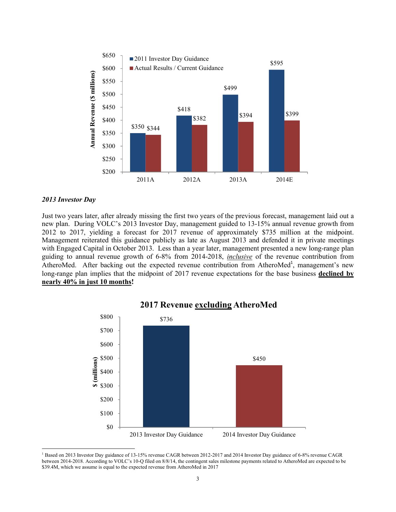

#### *2013 Investor Day*

l

Just two years later, after already missing the first two years of the previous forecast, management laid out a new plan. During VOLC's 2013 Investor Day, management guided to 13-15% annual revenue growth from 2012 to 2017, yielding a forecast for 2017 revenue of approximately \$735 million at the midpoint. Management reiterated this guidance publicly as late as August 2013 and defended it in private meetings with Engaged Capital in October 2013. Less than a year later, management presented a new long-range plan guiding to annual revenue growth of 6-8% from 2014-2018, *inclusive* of the revenue contribution from AtheroMed. After backing out the expected revenue contribution from AtheroMed<sup>1</sup>, management's new long-range plan implies that the midpoint of 2017 revenue expectations for the base business **declined by nearly 40% in just 10 months!**



# **2017 Revenue excluding AtheroMed**

<sup>&</sup>lt;sup>1</sup> Based on 2013 Investor Day guidance of 13-15% revenue CAGR between 2012-2017 and 2014 Investor Day guidance of 6-8% revenue CAGR between 2014-2018. According to VOLC's 10-Q filed on 8/8/14, the contingent sales milestone payments related to AtheroMed are expected to be \$39.4M, which we assume is equal to the expected revenue from AtheroMed in 2017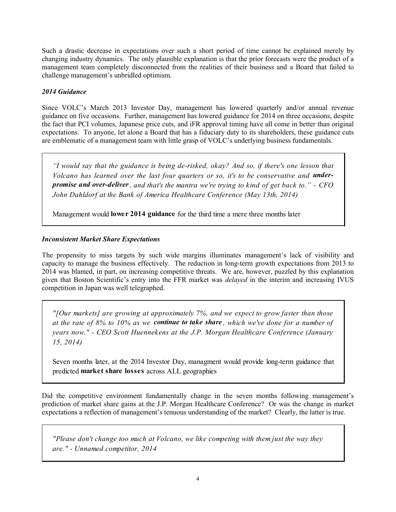Such a drastic decrease in expectations over such a short period of time cannot be explained merely by changing industry dynamics. The only plausible explanation is that the prior forecasts were the product of a management team completely disconnected from the realities of their business and a Board that failed to challenge management's unbridled optimism.

## *2014 Guidance*

Since VOLC's March 2013 Investor Day, management has lowered quarterly and/or annual revenue guidance on five occasions. Further, management has lowered guidance for 2014 on three occasions, despite the fact that PCI volumes, Japanese price cuts, and iFR approval timing have all come in better than original expectations. To anyone, let alone a Board that has a fiduciary duty to its shareholders, these guidance cuts are emblematic of a management team with little grasp of VOLC's underlying business fundamentals.

*"I would say that the guidance is being de-risked, okay? And so, if there's one lesson that Volcano has learned over the last four quarters or so, it's to be conservative and underpromise and over-deliver, and that's the mantra we're trying to kind of get back to." – CFO John Dahldorf at the Bank of America Healthcare Conference (May 13th, 2014)*

Management would **lower 2014 guidance** for the third time a mere three months later

## *Inconsistent Market Share Expectations*

The propensity to miss targets by such wide margins illuminates management's lack of visibility and capacity to manage the business effectively. The reduction in long-term growth expectations from 2013 to 2014 was blamed, in part, on increasing competitive threats. We are, however, puzzled by this explanation given that Boston Scientific's entry into the FFR market was *delayed* in the interim and increasing IVUS competition in Japan was well telegraphed.

*"[Our markets] are growing at approximately 7%, and we expect to grow faster than those* at the rate of  $8\%$  to 10% as we **continue to take share**, which we've done for a number of *years now." - CEO Scott Huennekens at the J.P. Morgan Healthcare Conference (January 15, 2014)*

Seven months later, at the 2014 Investor Day, managment would provide long-term guidance that predicted **market share losses** across ALL geographies

Did the competitive environment fundamentally change in the seven months following management's prediction of market share gains at the J.P. Morgan Healthcare Conference? Or was the change in market expectations a reflection of management's tenuous understanding of the market? Clearly, the latter is true.

*"Please don't change too much at Volcano, we like competing with them just the way they are." - Unnamed competitor, 2014*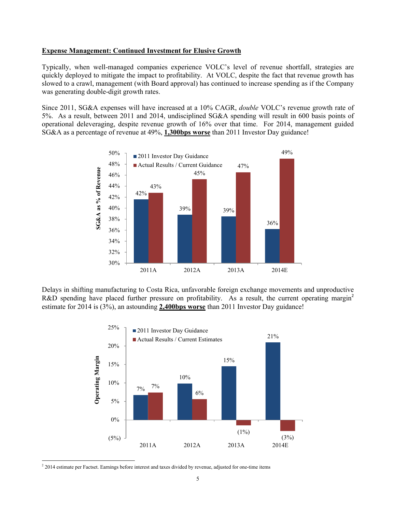#### **Expense Management: Continued Investment for Elusive Growth**

Typically, when well-managed companies experience VOLC's level of revenue shortfall, strategies are quickly deployed to mitigate the impact to profitability. At VOLC, despite the fact that revenue growth has slowed to a crawl, management (with Board approval) has continued to increase spending as if the Company was generating double-digit growth rates.

Since 2011, SG&A expenses will have increased at a 10% CAGR, *double* VOLC's revenue growth rate of 5%. As a result, between 2011 and 2014, undisciplined SG&A spending will result in 600 basis points of operational deleveraging, despite revenue growth of 16% over that time. For 2014, management guided SG&A as a percentage of revenue at 49%, **1,300bps worse** than 2011 Investor Day guidance!



Delays in shifting manufacturing to Costa Rica, unfavorable foreign exchange movements and unproductive R&D spending have placed further pressure on profitability. As a result, the current operating margin<sup>2</sup> estimate for 2014 is (3%), an astounding **2,400bps worse** than 2011 Investor Day guidance!



<sup>&</sup>lt;sup>2</sup> 2014 estimate per Factset. Earnings before interest and taxes divided by revenue, adjusted for one-time items

l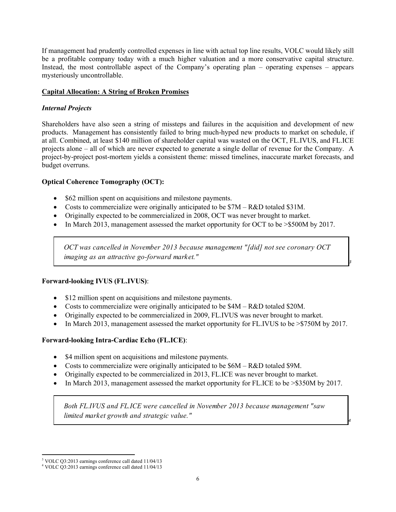If management had prudently controlled expenses in line with actual top line results, VOLC would likely still be a profitable company today with a much higher valuation and a more conservative capital structure. Instead, the most controllable aspect of the Company's operating plan – operating expenses – appears mysteriously uncontrollable.

# **Capital Allocation: A String of Broken Promises**

# *Internal Projects*

Shareholders have also seen a string of missteps and failures in the acquisition and development of new products. Management has consistently failed to bring much-hyped new products to market on schedule, if at all. Combined, at least \$140 million of shareholder capital was wasted on the OCT, FL.IVUS, and FL.ICE projects alone – all of which are never expected to generate a single dollar of revenue for the Company. A project-by-project post-mortem yields a consistent theme: missed timelines, inaccurate market forecasts, and budget overruns.

# **Optical Coherence Tomography (OCT):**

- \$62 million spent on acquisitions and milestone payments.
- Costs to commercialize were originally anticipated to be \$7M R&D totaled \$31M.
- Originally expected to be commercialized in 2008, OCT was never brought to market.
- In March 2013, management assessed the market opportunity for OCT to be > \$500M by 2017.

*OCT was cancelled in November 2013 because management "[did] not see coronary OCT imaging as an attractive go-forward market."*

*3*

*4*

## **Forward-looking IVUS (FL.IVUS)**:

- \$12 million spent on acquisitions and milestone payments.
- Costs to commercialize were originally anticipated to be \$4M R&D totaled \$20M.
- Originally expected to be commercialized in 2009, FL.IVUS was never brought to market.
- In March 2013, management assessed the market opportunity for FL.IVUS to be >\$750M by 2017.

# **Forward-looking Intra-Cardiac Echo (FL.ICE)**:

- \$4 million spent on acquisitions and milestone payments.
- Costs to commercialize were originally anticipated to be  $$6M R&D$$  totaled \$9M.
- Originally expected to be commercialized in 2013, FL.ICE was never brought to market.
- In March 2013, management assessed the market opportunity for FL.ICE to be >\$350M by 2017.

*Both FL.IVUS and FL.ICE were cancelled in November 2013 because management "saw limited market growth and strategic value."*

 $\overline{\phantom{a}}$ 

<sup>3</sup> VOLC Q3:2013 earnings conference call dated 11/04/13

<sup>4</sup> VOLC Q3:2013 earnings conference call dated 11/04/13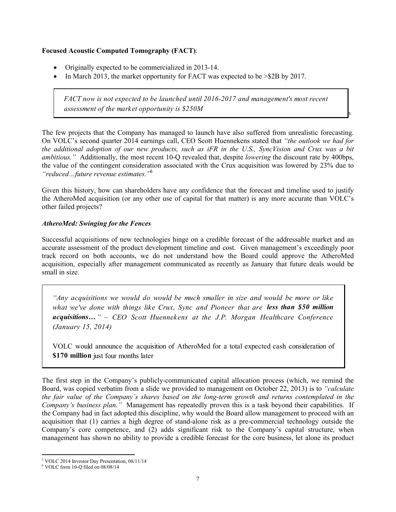## **Focused Acoustic Computed Tomography (FACT)**:

- Originally expected to be commercialized in 2013-14.
- In March 2013, the market opportunity for FACT was expected to be  $> $2B$  by 2017.

*FACT now is not expected to be launched until 2016-2017 and management's most recent assessment of the market opportunity is \$250M*

5

The few projects that the Company has managed to launch have also suffered from unrealistic forecasting. On VOLC's second quarter 2014 earnings call, CEO Scott Huennekens stated that *"the outlook we had for the additional adoption of our new products, such as iFR in the U.S., SyncVision and Crux was a bit ambitious."* Additionally, the most recent 10-Q revealed that, despite *lowering* the discount rate by 400bps, the value of the contingent consideration associated with the Crux acquisition was lowered by 23% due to *"reduced…future revenue estimates."* 6

Given this history, how can shareholders have any confidence that the forecast and timeline used to justify the AtheroMed acquisition (or any other use of capital for that matter) is any more accurate than VOLC's other failed projects?

## *AtheroMed: Swinging for the Fences*

Successful acquisitions of new technologies hinge on a credible forecast of the addressable market and an accurate assessment of the product development timeline and cost. Given management's exceedingly poor track record on both accounts, we do not understand how the Board could approve the AtheroMed acquisition, especially after management communicated as recently as January that future deals would be small in size.

*"Any acquisitions we would do would be much smaller in size and would be more or like what we've done with things like Crux, Sync and Pioneer that are less than \$50 million acquisitions…" – CEO Scott Huennekens at the J.P. Morgan Healthcare Conference (January 15, 2014)*

VOLC would announce the acquisition of AtheroMed for a total expected cash consideration of **\$170 million** just four months later

The first step in the Company's publicly-communicated capital allocation process (which, we remind the Board, was copied verbatim from a slide we provided to management on October 22, 2013) is to *"calculate the fair value of the Company's shares based on the long-term growth and returns contemplated in the Company's business plan."* Management has repeatedly proven this is a task beyond their capabilities. If the Company had in fact adopted this discipline, why would the Board allow management to proceed with an acquisition that (1) carries a high degree of stand-alone risk as a pre-commercial technology outside the Company's core competence, and (2) adds significant risk to the Company's capital structure, when management has shown no ability to provide a credible forecast for the core business, let alone its product

 $\overline{\phantom{a}}$ <sup>5</sup> VOLC 2014 Investor Day Presentation, 08/11/14

 $6$  VOLC form 10-Q filed on 08/08/14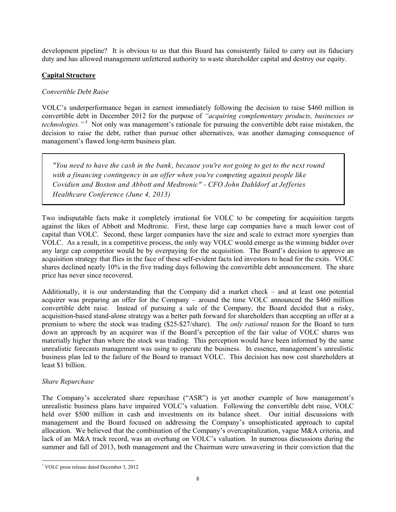development pipeline? It is obvious to us that this Board has consistently failed to carry out its fiduciary duty and has allowed management unfettered authority to waste shareholder capital and destroy our equity.

# **Capital Structure**

## *Convertible Debt Raise*

VOLC's underperformance began in earnest immediately following the decision to raise \$460 million in convertible debt in December 2012 for the purpose of *"acquiring complementary products, businesses or technologies." <sup>7</sup>* Not only was management's rationale for pursuing the convertible debt raise mistaken, the decision to raise the debt, rather than pursue other alternatives, was another damaging consequence of management's flawed long-term business plan.

*"You need to have the cash in the bank, because you're not going to get to the next round with a financing contingency in an offer when you're competing against people like Covidien and Boston and Abbott and Medtronic" - CFO John Dahldorf at Jefferies Healthcare Conference (June 4, 2013)*

Two indisputable facts make it completely irrational for VOLC to be competing for acquisition targets against the likes of Abbott and Medtronic. First, these large cap companies have a much lower cost of capital than VOLC. Second, these larger companies have the size and scale to extract more synergies than VOLC. As a result, in a competitive process, the only way VOLC would emerge as the winning bidder over any large cap competitor would be by overpaying for the acquisition. The Board's decision to approve an acquisition strategy that flies in the face of these self-evident facts led investors to head for the exits. VOLC shares declined nearly 10% in the five trading days following the convertible debt announcement. The share price has never since recovered.

Additionally, it is our understanding that the Company did a market check – and at least one potential acquirer was preparing an offer for the Company – around the time VOLC announced the \$460 million convertible debt raise. Instead of pursuing a sale of the Company, the Board decided that a risky, acquisition-based stand-alone strategy was a better path forward for shareholders than accepting an offer at a premium to where the stock was trading (\$25-\$27/share). The *only rational* reason for the Board to turn down an approach by an acquirer was if the Board's perception of the fair value of VOLC shares was materially higher than where the stock was trading. This perception would have been informed by the same unrealistic forecasts management was using to operate the business. In essence, management's unrealistic business plan led to the failure of the Board to transact VOLC. This decision has now cost shareholders at least \$1 billion.

## *Share Repurchase*

The Company's accelerated share repurchase ("ASR") is yet another example of how management's unrealistic business plans have impaired VOLC's valuation. Following the convertible debt raise, VOLC held over \$500 million in cash and investments on its balance sheet. Our initial discussions with management and the Board focused on addressing the Company's unsophisticated approach to capital allocation. We believed that the combination of the Company's overcapitalization, vague M&A criteria, and lack of an M&A track record, was an overhang on VOLC's valuation. In numerous discussions during the summer and fall of 2013, both management and the Chairman were unwavering in their conviction that the

l <sup>7</sup> VOLC press release dated December 3, 2012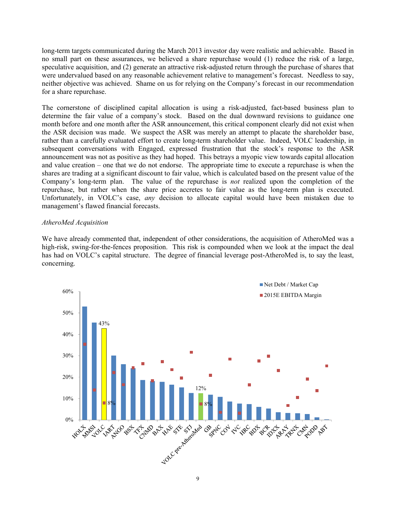long-term targets communicated during the March 2013 investor day were realistic and achievable. Based in no small part on these assurances, we believed a share repurchase would (1) reduce the risk of a large, speculative acquisition, and (2) generate an attractive risk-adjusted return through the purchase of shares that were undervalued based on any reasonable achievement relative to management's forecast. Needless to say, neither objective was achieved. Shame on us for relying on the Company's forecast in our recommendation for a share repurchase.

The cornerstone of disciplined capital allocation is using a risk-adjusted, fact-based business plan to determine the fair value of a company's stock. Based on the dual downward revisions to guidance one month before and one month after the ASR announcement, this critical component clearly did not exist when the ASR decision was made. We suspect the ASR was merely an attempt to placate the shareholder base, rather than a carefully evaluated effort to create long-term shareholder value. Indeed, VOLC leadership, in subsequent conversations with Engaged, expressed frustration that the stock's response to the ASR announcement was not as positive as they had hoped. This betrays a myopic view towards capital allocation and value creation – one that we do not endorse. The appropriate time to execute a repurchase is when the shares are trading at a significant discount to fair value, which is calculated based on the present value of the Company's long-term plan. The value of the repurchase is *not* realized upon the completion of the repurchase, but rather when the share price accretes to fair value as the long-term plan is executed. Unfortunately, in VOLC's case, *any* decision to allocate capital would have been mistaken due to management's flawed financial forecasts.

## *AtheroMed Acquisition*

We have already commented that, independent of other considerations, the acquisition of AtheroMed was a high-risk, swing-for-the-fences proposition. This risk is compounded when we look at the impact the deal has had on VOLC's capital structure. The degree of financial leverage post-AtheroMed is, to say the least, concerning.

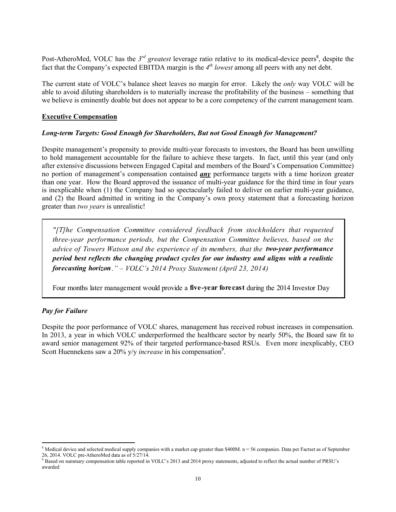Post-AtheroMed, VOLC has the  $3^{rd}$  *greatest* leverage ratio relative to its medical-device peers<sup>8</sup>, despite the fact that the Company's expected EBITDA margin is the  $4<sup>th</sup>$  *lowest* among all peers with any net debt.

The current state of VOLC's balance sheet leaves no margin for error. Likely the *only* way VOLC will be able to avoid diluting shareholders is to materially increase the profitability of the business – something that we believe is eminently doable but does not appear to be a core competency of the current management team.

## **Executive Compensation**

## *Long-term Targets: Good Enough for Shareholders, But not Good Enough for Management?*

Despite management's propensity to provide multi-year forecasts to investors, the Board has been unwilling to hold management accountable for the failure to achieve these targets. In fact, until this year (and only after extensive discussions between Engaged Capital and members of the Board's Compensation Committee) no portion of management's compensation contained *any* performance targets with a time horizon greater than one year. How the Board approved the issuance of multi-year guidance for the third time in four years is inexplicable when (1) the Company had so spectacularly failed to deliver on earlier multi-year guidance, and (2) the Board admitted in writing in the Company's own proxy statement that a forecasting horizon greater than *two years* is unrealistic!

*"[T]he Compensation Committee considered feedback from stockholders that requested three-year performance periods, but the Compensation Committee believes, based on the advice of Towers Watson and the experience of its members, that the two-year performance period best reflects the changing product cycles for our industry and aligns with a realistic forecasting horizon." – VOLC's 2014 Proxy Statement (April 23, 2014)*

Four months later management would provide a **five-year forecast** during the 2014 Investor Day

# *Pay for Failure*

 $\overline{a}$ 

Despite the poor performance of VOLC shares, management has received robust increases in compensation. In 2013, a year in which VOLC underperformed the healthcare sector by nearly 50%, the Board saw fit to award senior management 92% of their targeted performance-based RSUs. Even more inexplicably, CEO Scott Huennekens saw a 20% y/y *increase* in his compensation<sup>9</sup>.

<sup>&</sup>lt;sup>8</sup> Medical device and selected medical supply companies with a market cap greater than \$400M.  $n = 56$  companies. Data per Factset as of September 26, 2014. VOLC pre-AtheroMed data as of 5/27/14.

<sup>&</sup>lt;sup>9</sup> Based on summary compensation table reported in VOLC's 2013 and 2014 proxy statements, adjusted to reflect the actual number of PRSU's awarded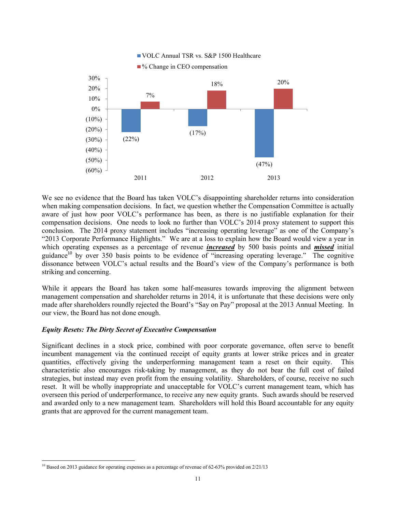

We see no evidence that the Board has taken VOLC's disappointing shareholder returns into consideration when making compensation decisions. In fact, we question whether the Compensation Committee is actually aware of just how poor VOLC's performance has been, as there is no justifiable explanation for their compensation decisions. One needs to look no further than VOLC's 2014 proxy statement to support this conclusion. The 2014 proxy statement includes "increasing operating leverage" as one of the Company's "2013 Corporate Performance Highlights." We are at a loss to explain how the Board would view a year in which operating expenses as a percentage of revenue *increased* by 500 basis points and *missed* initial guidance<sup>10</sup> by over 350 basis points to be evidence of "increasing operating leverage." The cognitive dissonance between VOLC's actual results and the Board's view of the Company's performance is both striking and concerning.

While it appears the Board has taken some half-measures towards improving the alignment between management compensation and shareholder returns in 2014, it is unfortunate that these decisions were only made after shareholders roundly rejected the Board's "Say on Pay" proposal at the 2013 Annual Meeting. In our view, the Board has not done enough.

## *Equity Resets: The Dirty Secret of Executive Compensation*

l

Significant declines in a stock price, combined with poor corporate governance, often serve to benefit incumbent management via the continued receipt of equity grants at lower strike prices and in greater quantities, effectively giving the underperforming management team a reset on their equity. This characteristic also encourages risk-taking by management, as they do not bear the full cost of failed strategies, but instead may even profit from the ensuing volatility. Shareholders, of course, receive no such reset. It will be wholly inappropriate and unacceptable for VOLC's current management team, which has overseen this period of underperformance, to receive any new equity grants. Such awards should be reserved and awarded only to a new management team. Shareholders will hold this Board accountable for any equity grants that are approved for the current management team.

<sup>&</sup>lt;sup>10</sup> Based on 2013 guidance for operating expenses as a percentage of revenue of 62-63% provided on  $2/21/13$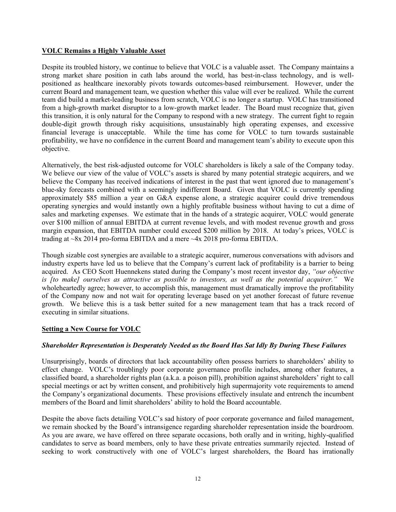## **VOLC Remains a Highly Valuable Asset**

Despite its troubled history, we continue to believe that VOLC is a valuable asset. The Company maintains a strong market share position in cath labs around the world, has best-in-class technology, and is wellpositioned as healthcare inexorably pivots towards outcomes-based reimbursement. However, under the current Board and management team, we question whether this value will ever be realized. While the current team did build a market-leading business from scratch, VOLC is no longer a startup. VOLC has transitioned from a high-growth market disruptor to a low-growth market leader. The Board must recognize that, given this transition, it is only natural for the Company to respond with a new strategy. The current fight to regain double-digit growth through risky acquisitions, unsustainably high operating expenses, and excessive financial leverage is unacceptable. While the time has come for VOLC to turn towards sustainable profitability, we have no confidence in the current Board and management team's ability to execute upon this objective.

Alternatively, the best risk-adjusted outcome for VOLC shareholders is likely a sale of the Company today. We believe our view of the value of VOLC's assets is shared by many potential strategic acquirers, and we believe the Company has received indications of interest in the past that went ignored due to management's blue-sky forecasts combined with a seemingly indifferent Board. Given that VOLC is currently spending approximately \$85 million a year on G&A expense alone, a strategic acquirer could drive tremendous operating synergies and would instantly own a highly profitable business without having to cut a dime of sales and marketing expenses. We estimate that in the hands of a strategic acquirer, VOLC would generate over \$100 million of annual EBITDA at current revenue levels, and with modest revenue growth and gross margin expansion, that EBITDA number could exceed \$200 million by 2018. At today's prices, VOLC is trading at ~8x 2014 pro-forma EBITDA and a mere ~4x 2018 pro-forma EBITDA.

Though sizable cost synergies are available to a strategic acquirer, numerous conversations with advisors and industry experts have led us to believe that the Company's current lack of profitability is a barrier to being acquired. As CEO Scott Huennekens stated during the Company's most recent investor day, *"our objective is [to make] ourselves as attractive as possible to investors, as well as the potential acquirer."* We wholeheartedly agree; however, to accomplish this, management must dramatically improve the profitability of the Company now and not wait for operating leverage based on yet another forecast of future revenue growth. We believe this is a task better suited for a new management team that has a track record of executing in similar situations.

# **Setting a New Course for VOLC**

## *Shareholder Representation is Desperately Needed as the Board Has Sat Idly By During These Failures*

Unsurprisingly, boards of directors that lack accountability often possess barriers to shareholders' ability to effect change. VOLC's troublingly poor corporate governance profile includes, among other features, a classified board, a shareholder rights plan (a.k.a. a poison pill), prohibition against shareholders' right to call special meetings or act by written consent, and prohibitively high supermajority vote requirements to amend the Company's organizational documents. These provisions effectively insulate and entrench the incumbent members of the Board and limit shareholders' ability to hold the Board accountable.

Despite the above facts detailing VOLC's sad history of poor corporate governance and failed management, we remain shocked by the Board's intransigence regarding shareholder representation inside the boardroom. As you are aware, we have offered on three separate occasions, both orally and in writing, highly-qualified candidates to serve as board members, only to have these private entreaties summarily rejected. Instead of seeking to work constructively with one of VOLC's largest shareholders, the Board has irrationally